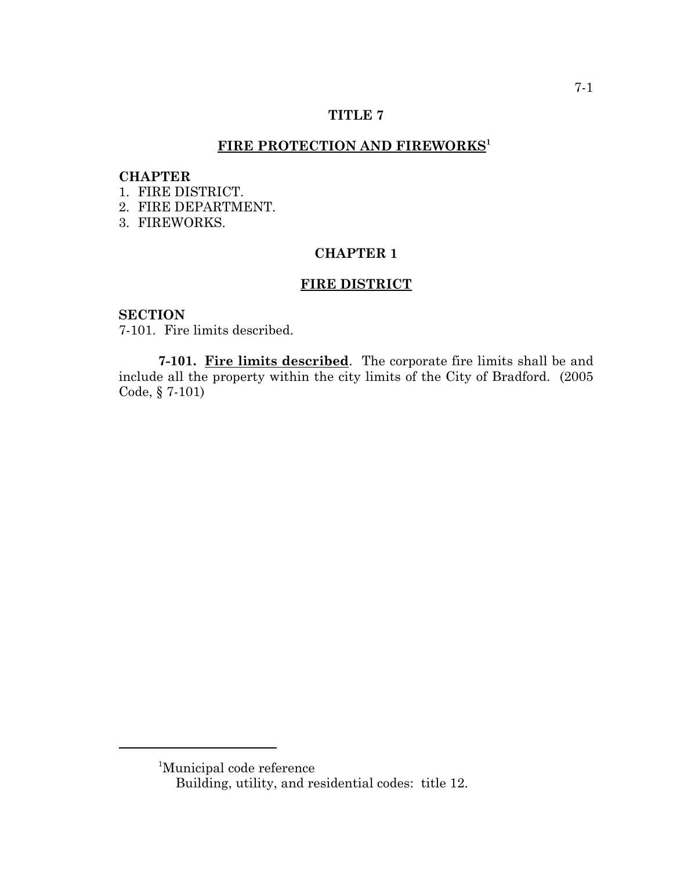#### **TITLE 7**

# FIRE PROTECTION AND FIREWORKS<sup>1</sup>

#### **CHAPTER**

- 1. FIRE DISTRICT.
- 2. FIRE DEPARTMENT.
- 3. FIREWORKS.

#### **CHAPTER 1**

#### **FIRE DISTRICT**

#### **SECTION**

7-101. Fire limits described.

**7-101. Fire limits described**. The corporate fire limits shall be and include all the property within the city limits of the City of Bradford. (2005 Code, § 7-101)

<sup>1</sup> Municipal code reference

Building, utility, and residential codes: title 12.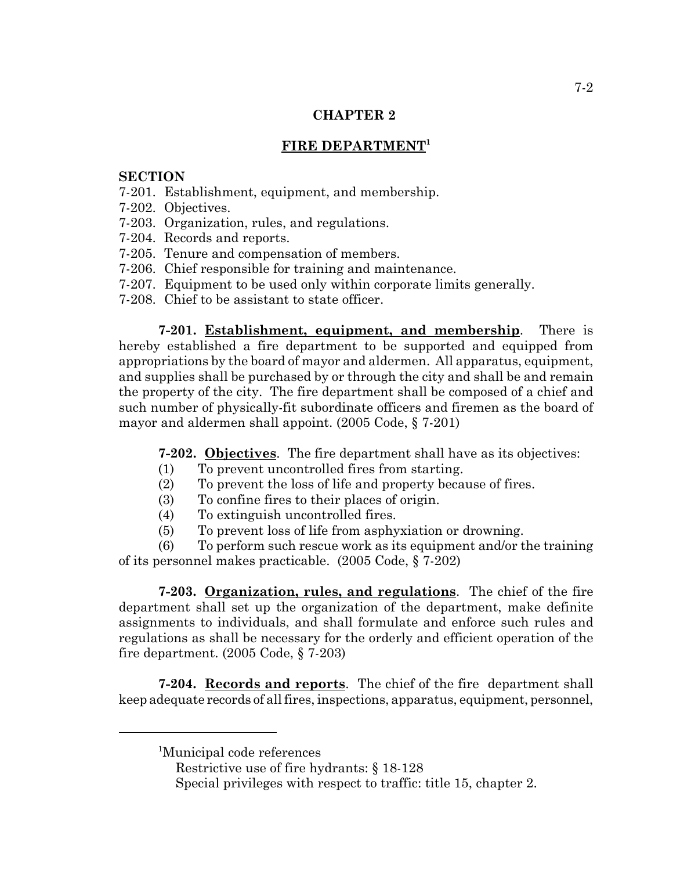#### **CHAPTER 2**

# FIRE DEPARTMENT<sup>1</sup>

## **SECTION**

- 7-201. Establishment, equipment, and membership.
- 7-202. Objectives.
- 7-203. Organization, rules, and regulations.
- 7-204. Records and reports.
- 7-205. Tenure and compensation of members.
- 7-206. Chief responsible for training and maintenance.
- 7-207. Equipment to be used only within corporate limits generally.
- 7-208. Chief to be assistant to state officer.

**7-201. Establishment, equipment, and membership**. There is hereby established a fire department to be supported and equipped from appropriations by the board of mayor and aldermen. All apparatus, equipment, and supplies shall be purchased by or through the city and shall be and remain the property of the city. The fire department shall be composed of a chief and such number of physically-fit subordinate officers and firemen as the board of mayor and aldermen shall appoint. (2005 Code, § 7-201)

**7-202. Objectives**. The fire department shall have as its objectives:

- (1) To prevent uncontrolled fires from starting.
- (2) To prevent the loss of life and property because of fires.
- (3) To confine fires to their places of origin.
- (4) To extinguish uncontrolled fires.
- (5) To prevent loss of life from asphyxiation or drowning.

(6) To perform such rescue work as its equipment and/or the training of its personnel makes practicable. (2005 Code, § 7-202)

**7-203. Organization, rules, and regulations**. The chief of the fire department shall set up the organization of the department, make definite assignments to individuals, and shall formulate and enforce such rules and regulations as shall be necessary for the orderly and efficient operation of the fire department. (2005 Code, § 7-203)

**7-204. Records and reports**. The chief of the fire department shall keep adequate records of all fires, inspections, apparatus, equipment, personnel,

<sup>&</sup>lt;sup>1</sup>Municipal code references

Restrictive use of fire hydrants: § 18-128

Special privileges with respect to traffic: title 15, chapter 2.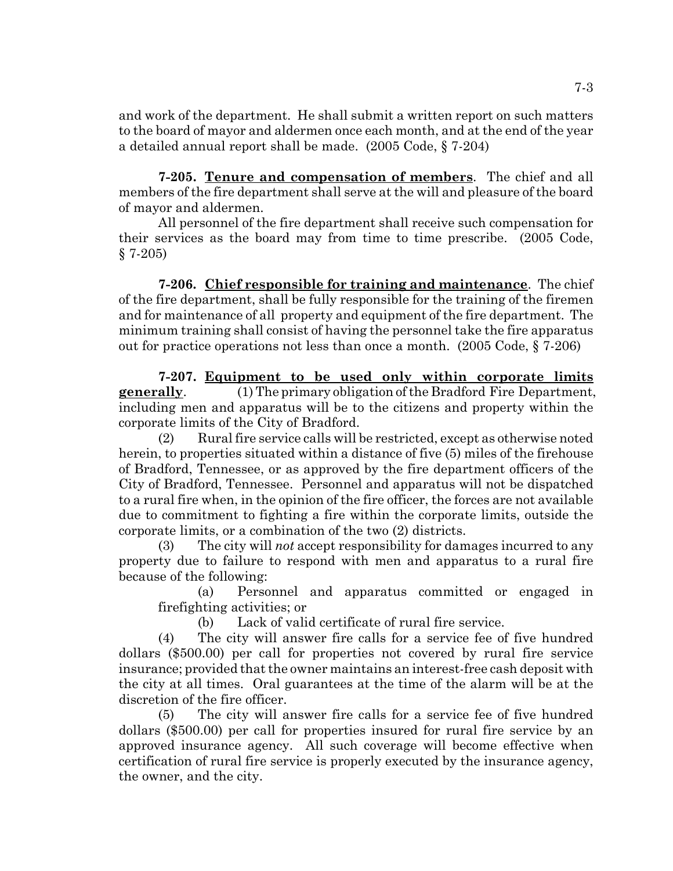and work of the department. He shall submit a written report on such matters to the board of mayor and aldermen once each month, and at the end of the year a detailed annual report shall be made. (2005 Code, § 7-204)

**7-205. Tenure and compensation of members**. The chief and all members of the fire department shall serve at the will and pleasure of the board of mayor and aldermen.

All personnel of the fire department shall receive such compensation for their services as the board may from time to time prescribe. (2005 Code, § 7-205)

**7-206. Chief responsible for training and maintenance**. The chief of the fire department, shall be fully responsible for the training of the firemen and for maintenance of all property and equipment of the fire department. The minimum training shall consist of having the personnel take the fire apparatus out for practice operations not less than once a month. (2005 Code, § 7-206)

**7-207. Equipment to be used only within corporate limits generally.** (1) The primary obligation of the Bradford Fire Department, including men and apparatus will be to the citizens and property within the corporate limits of the City of Bradford.

(2) Rural fire service calls will be restricted, except as otherwise noted herein, to properties situated within a distance of five (5) miles of the firehouse of Bradford, Tennessee, or as approved by the fire department officers of the City of Bradford, Tennessee. Personnel and apparatus will not be dispatched to a rural fire when, in the opinion of the fire officer, the forces are not available due to commitment to fighting a fire within the corporate limits, outside the corporate limits, or a combination of the two (2) districts.

(3) The city will *not* accept responsibility for damages incurred to any property due to failure to respond with men and apparatus to a rural fire because of the following:

(a) Personnel and apparatus committed or engaged in firefighting activities; or

(b) Lack of valid certificate of rural fire service.

(4) The city will answer fire calls for a service fee of five hundred dollars (\$500.00) per call for properties not covered by rural fire service insurance; provided that the owner maintains an interest-free cash deposit with the city at all times. Oral guarantees at the time of the alarm will be at the discretion of the fire officer.

(5) The city will answer fire calls for a service fee of five hundred dollars (\$500.00) per call for properties insured for rural fire service by an approved insurance agency. All such coverage will become effective when certification of rural fire service is properly executed by the insurance agency, the owner, and the city.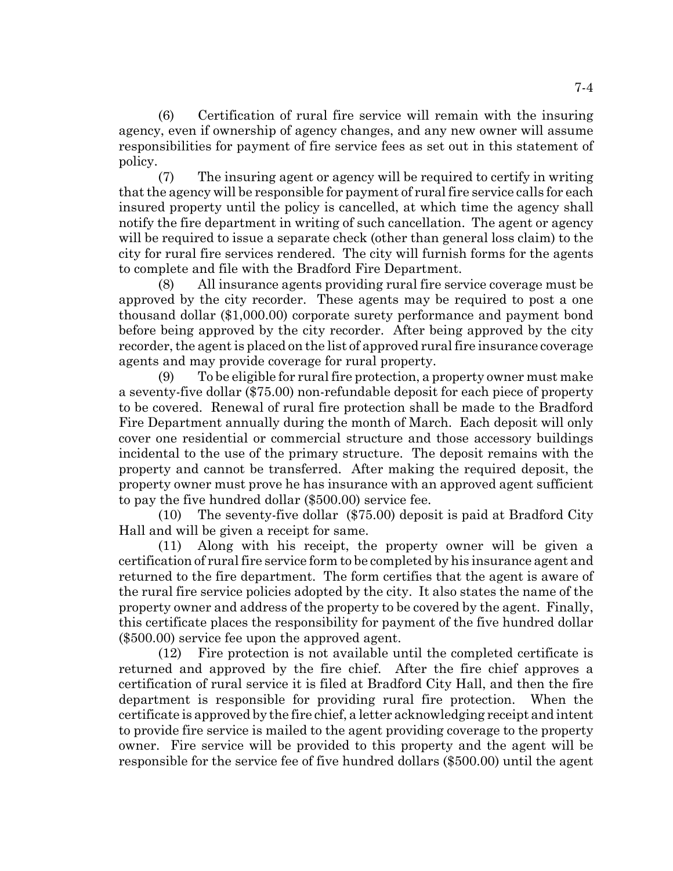(6) Certification of rural fire service will remain with the insuring agency, even if ownership of agency changes, and any new owner will assume responsibilities for payment of fire service fees as set out in this statement of policy.

(7) The insuring agent or agency will be required to certify in writing that the agency will be responsible for payment of rural fire service calls for each insured property until the policy is cancelled, at which time the agency shall notify the fire department in writing of such cancellation. The agent or agency will be required to issue a separate check (other than general loss claim) to the city for rural fire services rendered. The city will furnish forms for the agents to complete and file with the Bradford Fire Department.

(8) All insurance agents providing rural fire service coverage must be approved by the city recorder. These agents may be required to post a one thousand dollar (\$1,000.00) corporate surety performance and payment bond before being approved by the city recorder. After being approved by the city recorder, the agent is placed on the list of approved rural fire insurance coverage agents and may provide coverage for rural property.

(9) To be eligible for rural fire protection, a property owner must make a seventy-five dollar (\$75.00) non-refundable deposit for each piece of property to be covered. Renewal of rural fire protection shall be made to the Bradford Fire Department annually during the month of March. Each deposit will only cover one residential or commercial structure and those accessory buildings incidental to the use of the primary structure. The deposit remains with the property and cannot be transferred. After making the required deposit, the property owner must prove he has insurance with an approved agent sufficient to pay the five hundred dollar (\$500.00) service fee.

(10) The seventy-five dollar (\$75.00) deposit is paid at Bradford City Hall and will be given a receipt for same.

(11) Along with his receipt, the property owner will be given a certification of rural fire service form to be completed by his insurance agent and returned to the fire department. The form certifies that the agent is aware of the rural fire service policies adopted by the city. It also states the name of the property owner and address of the property to be covered by the agent. Finally, this certificate places the responsibility for payment of the five hundred dollar (\$500.00) service fee upon the approved agent.

(12) Fire protection is not available until the completed certificate is returned and approved by the fire chief. After the fire chief approves a certification of rural service it is filed at Bradford City Hall, and then the fire department is responsible for providing rural fire protection. When the certificate is approved by the fire chief, a letter acknowledging receipt and intent to provide fire service is mailed to the agent providing coverage to the property owner. Fire service will be provided to this property and the agent will be responsible for the service fee of five hundred dollars (\$500.00) until the agent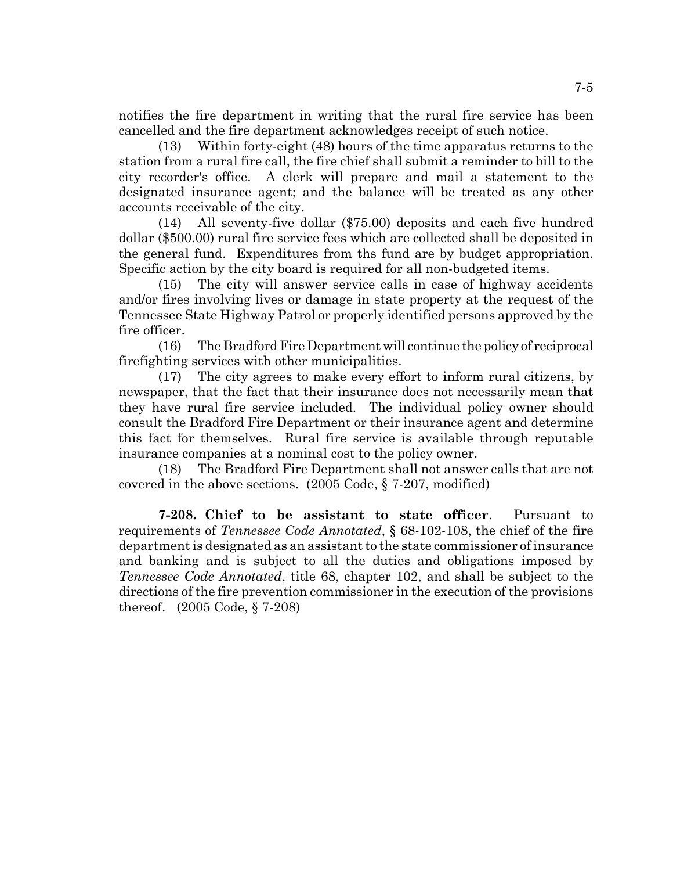notifies the fire department in writing that the rural fire service has been cancelled and the fire department acknowledges receipt of such notice.

(13) Within forty-eight (48) hours of the time apparatus returns to the station from a rural fire call, the fire chief shall submit a reminder to bill to the city recorder's office. A clerk will prepare and mail a statement to the designated insurance agent; and the balance will be treated as any other accounts receivable of the city.

(14) All seventy-five dollar (\$75.00) deposits and each five hundred dollar (\$500.00) rural fire service fees which are collected shall be deposited in the general fund. Expenditures from ths fund are by budget appropriation. Specific action by the city board is required for all non-budgeted items.

(15) The city will answer service calls in case of highway accidents and/or fires involving lives or damage in state property at the request of the Tennessee State Highway Patrol or properly identified persons approved by the fire officer.

(16) The Bradford Fire Department will continue the policy of reciprocal firefighting services with other municipalities.

(17) The city agrees to make every effort to inform rural citizens, by newspaper, that the fact that their insurance does not necessarily mean that they have rural fire service included. The individual policy owner should consult the Bradford Fire Department or their insurance agent and determine this fact for themselves. Rural fire service is available through reputable insurance companies at a nominal cost to the policy owner.

(18) The Bradford Fire Department shall not answer calls that are not covered in the above sections. (2005 Code, § 7-207, modified)

**7-208. Chief to be assistant to state officer**. Pursuant to requirements of *Tennessee Code Annotated*, § 68-102-108, the chief of the fire department is designated as an assistant to the state commissioner of insurance and banking and is subject to all the duties and obligations imposed by *Tennessee Code Annotated*, title 68, chapter 102, and shall be subject to the directions of the fire prevention commissioner in the execution of the provisions thereof. (2005 Code, § 7-208)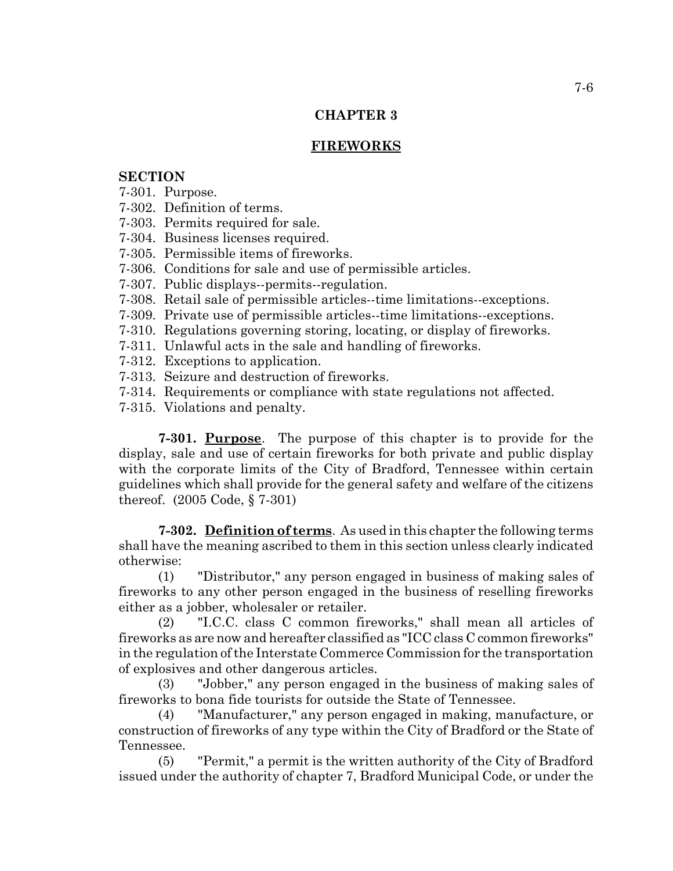# **CHAPTER 3**

# **FIREWORKS**

## **SECTION**

- 7-301. Purpose.
- 7-302. Definition of terms.
- 7-303. Permits required for sale.
- 7-304. Business licenses required.
- 7-305. Permissible items of fireworks.
- 7-306. Conditions for sale and use of permissible articles.
- 7-307. Public displays--permits--regulation.
- 7-308. Retail sale of permissible articles--time limitations--exceptions.
- 7-309. Private use of permissible articles--time limitations--exceptions.
- 7-310. Regulations governing storing, locating, or display of fireworks.
- 7-311. Unlawful acts in the sale and handling of fireworks.
- 7-312. Exceptions to application.
- 7-313. Seizure and destruction of fireworks.
- 7-314. Requirements or compliance with state regulations not affected.
- 7-315. Violations and penalty.

**7-301. Purpose**. The purpose of this chapter is to provide for the display, sale and use of certain fireworks for both private and public display with the corporate limits of the City of Bradford, Tennessee within certain guidelines which shall provide for the general safety and welfare of the citizens thereof. (2005 Code, § 7-301)

**7-302. Definition of terms**. As used in this chapter the following terms shall have the meaning ascribed to them in this section unless clearly indicated otherwise:

(1) "Distributor," any person engaged in business of making sales of fireworks to any other person engaged in the business of reselling fireworks either as a jobber, wholesaler or retailer.

(2) "I.C.C. class C common fireworks," shall mean all articles of fireworks as are now and hereafter classified as "ICC class C common fireworks" in the regulation of the Interstate Commerce Commission for the transportation of explosives and other dangerous articles.

(3) "Jobber," any person engaged in the business of making sales of fireworks to bona fide tourists for outside the State of Tennessee.

(4) "Manufacturer," any person engaged in making, manufacture, or construction of fireworks of any type within the City of Bradford or the State of Tennessee.

(5) "Permit," a permit is the written authority of the City of Bradford issued under the authority of chapter 7, Bradford Municipal Code, or under the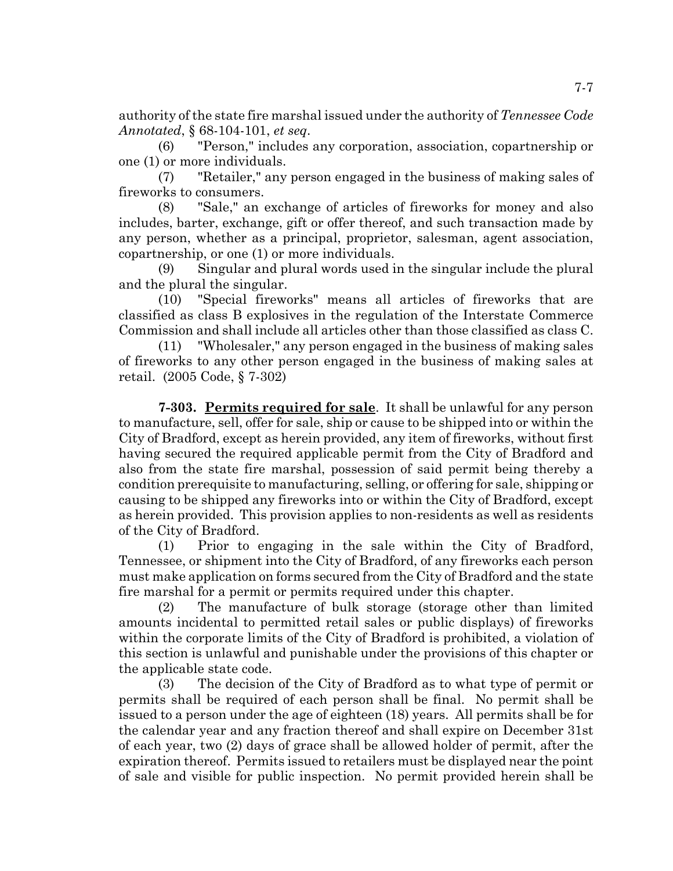authority of the state fire marshal issued under the authority of *Tennessee Code Annotated*, § 68-104-101, *et seq*.

(6) "Person," includes any corporation, association, copartnership or one (1) or more individuals.

(7) "Retailer," any person engaged in the business of making sales of fireworks to consumers.

(8) "Sale," an exchange of articles of fireworks for money and also includes, barter, exchange, gift or offer thereof, and such transaction made by any person, whether as a principal, proprietor, salesman, agent association, copartnership, or one (1) or more individuals.

(9) Singular and plural words used in the singular include the plural and the plural the singular.

(10) "Special fireworks" means all articles of fireworks that are classified as class B explosives in the regulation of the Interstate Commerce Commission and shall include all articles other than those classified as class C.

(11) "Wholesaler," any person engaged in the business of making sales of fireworks to any other person engaged in the business of making sales at retail. (2005 Code, § 7-302)

**7-303. Permits required for sale**. It shall be unlawful for any person to manufacture, sell, offer for sale, ship or cause to be shipped into or within the City of Bradford, except as herein provided, any item of fireworks, without first having secured the required applicable permit from the City of Bradford and also from the state fire marshal, possession of said permit being thereby a condition prerequisite to manufacturing, selling, or offering for sale, shipping or causing to be shipped any fireworks into or within the City of Bradford, except as herein provided. This provision applies to non-residents as well as residents of the City of Bradford.

(1) Prior to engaging in the sale within the City of Bradford, Tennessee, or shipment into the City of Bradford, of any fireworks each person must make application on forms secured from the City of Bradford and the state fire marshal for a permit or permits required under this chapter.

(2) The manufacture of bulk storage (storage other than limited amounts incidental to permitted retail sales or public displays) of fireworks within the corporate limits of the City of Bradford is prohibited, a violation of this section is unlawful and punishable under the provisions of this chapter or the applicable state code.

(3) The decision of the City of Bradford as to what type of permit or permits shall be required of each person shall be final. No permit shall be issued to a person under the age of eighteen (18) years. All permits shall be for the calendar year and any fraction thereof and shall expire on December 31st of each year, two (2) days of grace shall be allowed holder of permit, after the expiration thereof. Permits issued to retailers must be displayed near the point of sale and visible for public inspection. No permit provided herein shall be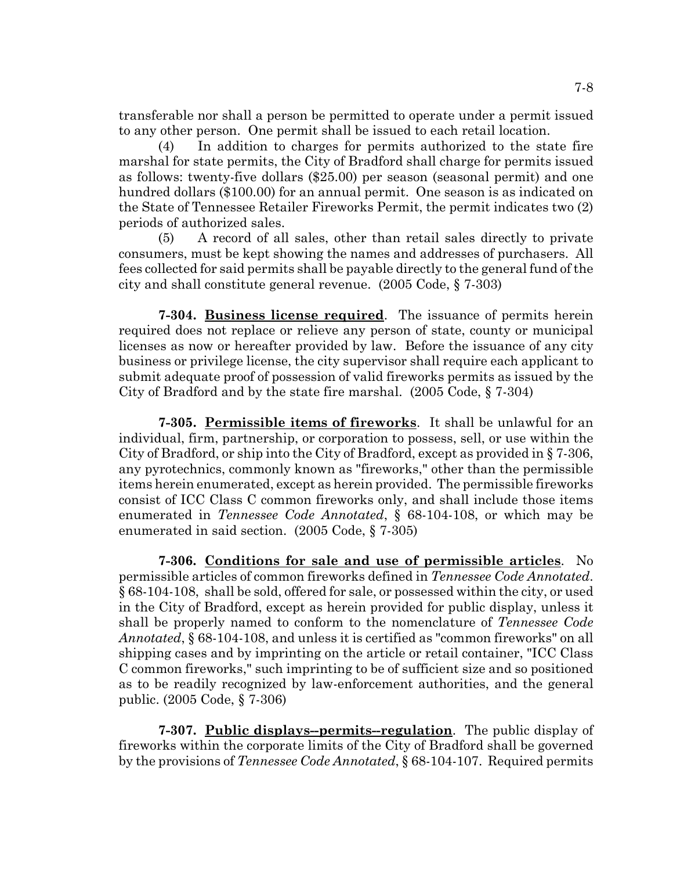transferable nor shall a person be permitted to operate under a permit issued to any other person. One permit shall be issued to each retail location.

(4) In addition to charges for permits authorized to the state fire marshal for state permits, the City of Bradford shall charge for permits issued as follows: twenty-five dollars (\$25.00) per season (seasonal permit) and one hundred dollars (\$100.00) for an annual permit. One season is as indicated on the State of Tennessee Retailer Fireworks Permit, the permit indicates two (2) periods of authorized sales.

(5) A record of all sales, other than retail sales directly to private consumers, must be kept showing the names and addresses of purchasers. All fees collected for said permits shall be payable directly to the general fund of the city and shall constitute general revenue. (2005 Code, § 7-303)

**7-304. Business license required**. The issuance of permits herein required does not replace or relieve any person of state, county or municipal licenses as now or hereafter provided by law. Before the issuance of any city business or privilege license, the city supervisor shall require each applicant to submit adequate proof of possession of valid fireworks permits as issued by the City of Bradford and by the state fire marshal. (2005 Code, § 7-304)

**7-305. Permissible items of fireworks**. It shall be unlawful for an individual, firm, partnership, or corporation to possess, sell, or use within the City of Bradford, or ship into the City of Bradford, except as provided in § 7-306, any pyrotechnics, commonly known as "fireworks," other than the permissible items herein enumerated, except as herein provided. The permissible fireworks consist of ICC Class C common fireworks only, and shall include those items enumerated in *Tennessee Code Annotated*, § 68-104-108, or which may be enumerated in said section. (2005 Code, § 7-305)

**7-306. Conditions for sale and use of permissible articles**. No permissible articles of common fireworks defined in *Tennessee Code Annotated*. § 68-104-108, shall be sold, offered for sale, or possessed within the city, or used in the City of Bradford, except as herein provided for public display, unless it shall be properly named to conform to the nomenclature of *Tennessee Code Annotated*, § 68-104-108, and unless it is certified as "common fireworks" on all shipping cases and by imprinting on the article or retail container, "ICC Class C common fireworks," such imprinting to be of sufficient size and so positioned as to be readily recognized by law-enforcement authorities, and the general public. (2005 Code, § 7-306)

**7-307. Public displays--permits--regulation**. The public display of fireworks within the corporate limits of the City of Bradford shall be governed by the provisions of *Tennessee Code Annotated*, § 68-104-107. Required permits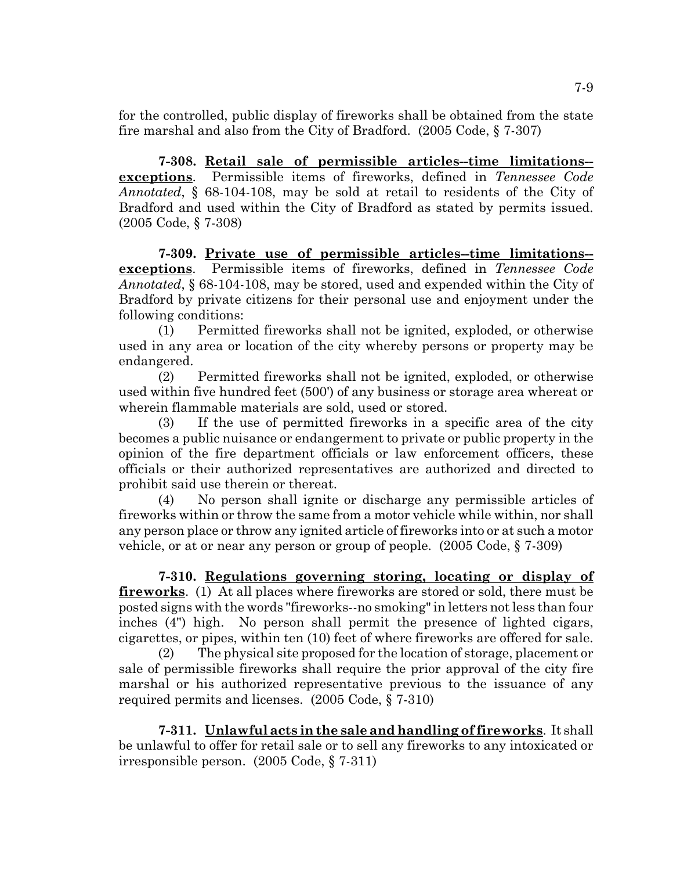for the controlled, public display of fireworks shall be obtained from the state fire marshal and also from the City of Bradford. (2005 Code, § 7-307)

**7-308. Retail sale of permissible articles--time limitations- exceptions**. Permissible items of fireworks, defined in *Tennessee Code Annotated*, § 68-104-108, may be sold at retail to residents of the City of Bradford and used within the City of Bradford as stated by permits issued. (2005 Code, § 7-308)

**7-309. Private use of permissible articles--time limitations- exceptions**. Permissible items of fireworks, defined in *Tennessee Code Annotated*, § 68-104-108, may be stored, used and expended within the City of Bradford by private citizens for their personal use and enjoyment under the following conditions:

(1) Permitted fireworks shall not be ignited, exploded, or otherwise used in any area or location of the city whereby persons or property may be endangered.

(2) Permitted fireworks shall not be ignited, exploded, or otherwise used within five hundred feet (500') of any business or storage area whereat or wherein flammable materials are sold, used or stored.

(3) If the use of permitted fireworks in a specific area of the city becomes a public nuisance or endangerment to private or public property in the opinion of the fire department officials or law enforcement officers, these officials or their authorized representatives are authorized and directed to prohibit said use therein or thereat.

(4) No person shall ignite or discharge any permissible articles of fireworks within or throw the same from a motor vehicle while within, nor shall any person place or throw any ignited article of fireworks into or at such a motor vehicle, or at or near any person or group of people. (2005 Code, § 7-309)

**7-310. Regulations governing storing, locating or display of fireworks**. (1) At all places where fireworks are stored or sold, there must be posted signs with the words "fireworks--no smoking" in letters not less than four inches (4") high. No person shall permit the presence of lighted cigars, cigarettes, or pipes, within ten (10) feet of where fireworks are offered for sale.

(2) The physical site proposed for the location of storage, placement or sale of permissible fireworks shall require the prior approval of the city fire marshal or his authorized representative previous to the issuance of any required permits and licenses. (2005 Code, § 7-310)

**7-311. Unlawful acts in the sale and handling of fireworks**. It shall be unlawful to offer for retail sale or to sell any fireworks to any intoxicated or irresponsible person. (2005 Code, § 7-311)